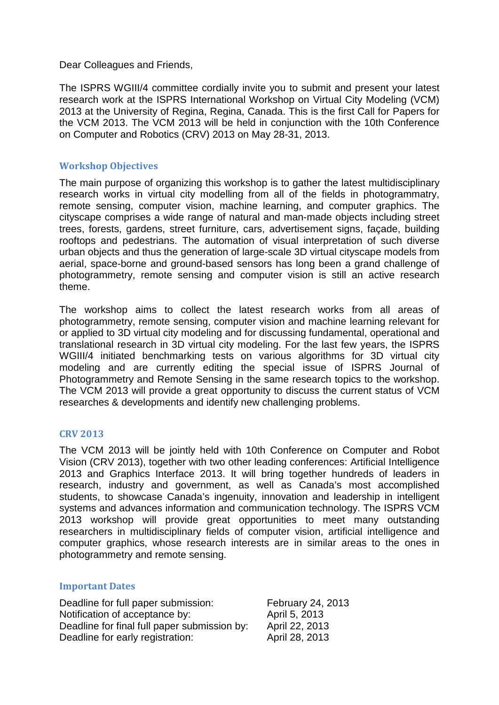Dear Colleagues and Friends,

The ISPRS WGIII/4 committee cordially invite you to submit and present your latest research work at the ISPRS International Workshop on Virtual City Modeling (VCM) 2013 at the University of Regina, Regina, Canada. This is the first Call for Papers for the VCM 2013. The VCM 2013 will be held in conjunction with the 10th Conference on Computer and Robotics (CRV) 2013 on May 28-31, 2013.

## **Workshop Objectives**

The main purpose of organizing this workshop is to gather the latest multidisciplinary research works in virtual city modelling from all of the fields in photogrammatry, remote sensing, computer vision, machine learning, and computer graphics. The cityscape comprises a wide range of natural and man-made objects including street trees, forests, gardens, street furniture, cars, advertisement signs, façade, building rooftops and pedestrians. The automation of visual interpretation of such diverse urban objects and thus the generation of large-scale 3D virtual cityscape models from aerial, space-borne and ground-based sensors has long been a grand challenge of photogrammetry, remote sensing and computer vision is still an active research theme.

The workshop aims to collect the latest research works from all areas of photogrammetry, remote sensing, computer vision and machine learning relevant for or applied to 3D virtual city modeling and for discussing fundamental, operational and translational research in 3D virtual city modeling. For the last few years, the ISPRS WGIII/4 initiated benchmarking tests on various algorithms for 3D virtual city modeling and are currently editing the special issue of ISPRS Journal of Photogrammetry and Remote Sensing in the same research topics to the workshop. The VCM 2013 will provide a great opportunity to discuss the current status of VCM researches & developments and identify new challenging problems.

## **CRV 2013**

The VCM 2013 will be jointly held with 10th Conference on Computer and Robot Vision (CRV 2013), together with two other leading conferences: Artificial Intelligence 2013 and Graphics Interface 2013. It will bring together hundreds of leaders in research, industry and government, as well as Canada's most accomplished students, to showcase Canada's ingenuity, innovation and leadership in intelligent systems and advances information and communication technology. The ISPRS VCM 2013 workshop will provide great opportunities to meet many outstanding researchers in multidisciplinary fields of computer vision, artificial intelligence and computer graphics, whose research interests are in similar areas to the ones in photogrammetry and remote sensing.

## **Important Dates**

Deadline for full paper submission: February 24, 2013 Notification of acceptance by: April 5, 2013 Deadline for final full paper submission by: April 22, 2013 Deadline for early registration: April 28, 2013